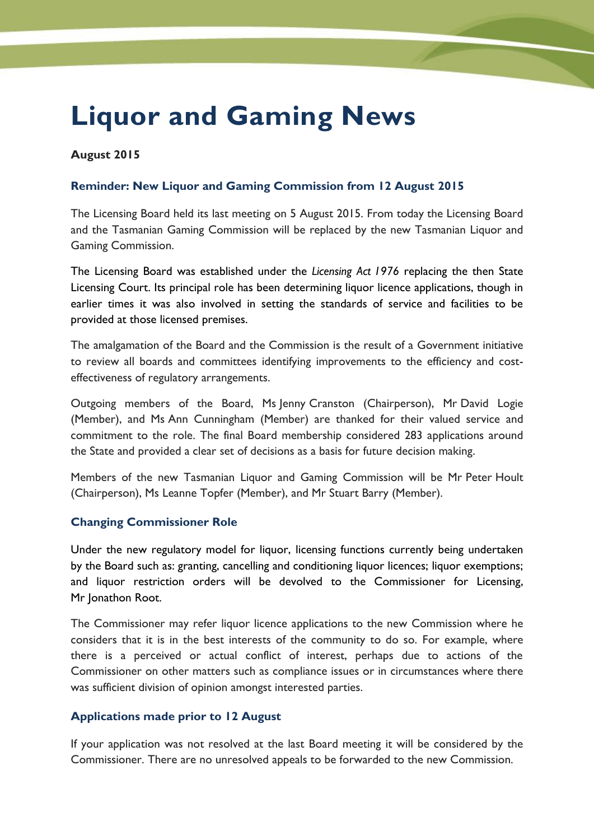# **Liquor and Gaming News**

# **August 2015**

# **Reminder: New Liquor and Gaming Commission from 12 August 2015**

The Licensing Board held its last meeting on 5 August 2015. From today the Licensing Board and the Tasmanian Gaming Commission will be replaced by the new Tasmanian Liquor and Gaming Commission.

The Licensing Board was established under the *Licensing Act 1976* replacing the then State Licensing Court. Its principal role has been determining liquor licence applications, though in earlier times it was also involved in setting the standards of service and facilities to be provided at those licensed premises.

The amalgamation of the Board and the Commission is the result of a Government initiative to review all boards and committees identifying improvements to the efficiency and costeffectiveness of regulatory arrangements.

Outgoing members of the Board, Ms Jenny Cranston (Chairperson), Mr David Logie (Member), and Ms Ann Cunningham (Member) are thanked for their valued service and commitment to the role. The final Board membership considered 283 applications around the State and provided a clear set of decisions as a basis for future decision making.

Members of the new Tasmanian Liquor and Gaming Commission will be Mr Peter Hoult (Chairperson), Ms Leanne Topfer (Member), and Mr Stuart Barry (Member).

## **Changing Commissioner Role**

Under the new regulatory model for liquor, licensing functions currently being undertaken by the Board such as: granting, cancelling and conditioning liquor licences; liquor exemptions; and liquor restriction orders will be devolved to the Commissioner for Licensing, Mr Jonathon Root.

The Commissioner may refer liquor licence applications to the new Commission where he considers that it is in the best interests of the community to do so. For example, where there is a perceived or actual conflict of interest, perhaps due to actions of the Commissioner on other matters such as compliance issues or in circumstances where there was sufficient division of opinion amongst interested parties.

## **Applications made prior to 12 August**

If your application was not resolved at the last Board meeting it will be considered by the Commissioner. There are no unresolved appeals to be forwarded to the new Commission.